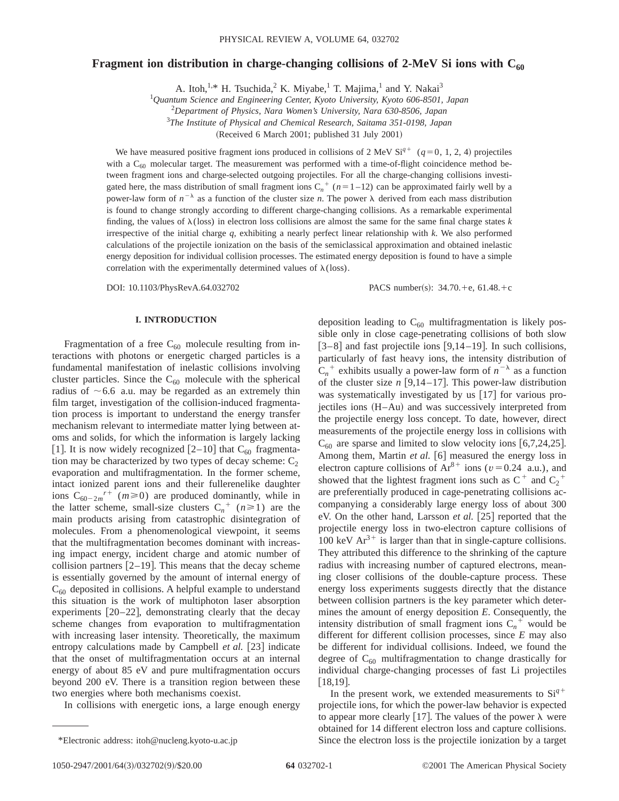# **Fragment ion distribution in charge-changing collisions of 2-MeV Si ions with C<sub>60</sub>**

A. Itoh, $1, *$  H. Tsuchida,<sup>2</sup> K. Miyabe,<sup>1</sup> T. Majima,<sup>1</sup> and Y. Nakai<sup>3</sup>

1 *Quantum Science and Engineering Center, Kyoto University, Kyoto 606-8501, Japan*

2 *Department of Physics, Nara Women's University, Nara 630-8506, Japan*

3 *The Institute of Physical and Chemical Research, Saitama 351-0198, Japan*

(Received 6 March 2001; published 31 July 2001)

We have measured positive fragment ions produced in collisions of 2 MeV  $Si^{q+}$  ( $q=0, 1, 2, 4$ ) projectiles with a  $C_{60}$  molecular target. The measurement was performed with a time-of-flight coincidence method between fragment ions and charge-selected outgoing projectiles. For all the charge-changing collisions investigated here, the mass distribution of small fragment ions  $C_n^+$  ( $n=1-12$ ) can be approximated fairly well by a power-law form of  $n^{-\lambda}$  as a function of the cluster size *n*. The power  $\lambda$  derived from each mass distribution is found to change strongly according to different charge-changing collisions. As a remarkable experimental finding, the values of  $\lambda$ (loss) in electron loss collisions are almost the same for the same final charge states  $k$ irrespective of the initial charge *q*, exhibiting a nearly perfect linear relationship with *k*. We also performed calculations of the projectile ionization on the basis of the semiclassical approximation and obtained inelastic energy deposition for individual collision processes. The estimated energy deposition is found to have a simple correlation with the experimentally determined values of  $\lambda$ (loss).

DOI: 10.1103/PhysRevA.64.032702 PACS number(s): 34.70.+e, 61.48.+c

## **I. INTRODUCTION**

Fragmentation of a free  $C_{60}$  molecule resulting from interactions with photons or energetic charged particles is a fundamental manifestation of inelastic collisions involving cluster particles. Since the  $C_{60}$  molecule with the spherical radius of  $\sim$  6.6 a.u. may be regarded as an extremely thin film target, investigation of the collision-induced fragmentation process is important to understand the energy transfer mechanism relevant to intermediate matter lying between atoms and solids, for which the information is largely lacking [1]. It is now widely recognized  $[2-10]$  that C<sub>60</sub> fragmentation may be characterized by two types of decay scheme:  $C_2$ evaporation and multifragmentation. In the former scheme, intact ionized parent ions and their fullerenelike daughter ions  $C_{60-2m}^{r+1}(m \ge 0)$  are produced dominantly, while in the latter scheme, small-size clusters  $C_n^+$  ( $n \ge 1$ ) are the main products arising from catastrophic disintegration of molecules. From a phenomenological viewpoint, it seems that the multifragmentation becomes dominant with increasing impact energy, incident charge and atomic number of collision partners  $[2-19]$ . This means that the decay scheme is essentially governed by the amount of internal energy of  $C_{60}$  deposited in collisions. A helpful example to understand this situation is the work of multiphoton laser absorption experiments  $[20-22]$ , demonstrating clearly that the decay scheme changes from evaporation to multifragmentation with increasing laser intensity. Theoretically, the maximum entropy calculations made by Campbell *et al.* [23] indicate that the onset of multifragmentation occurs at an internal energy of about 85 eV and pure multifragmentation occurs beyond 200 eV. There is a transition region between these two energies where both mechanisms coexist.

In collisions with energetic ions, a large enough energy

deposition leading to  $C_{60}$  multifragmentation is likely possible only in close cage-penetrating collisions of both slow  $[3-8]$  and fast projectile ions  $[9,14-19]$ . In such collisions, particularly of fast heavy ions, the intensity distribution of  $C_n^+$  exhibits usually a power-law form of  $n^{-\lambda}$  as a function of the cluster size  $n$  [9,14–17]. This power-law distribution was systematically investigated by us  $[17]$  for various projectiles ions (H–Au) and was successively interpreted from the projectile energy loss concept. To date, however, direct measurements of the projectile energy loss in collisions with  $C_{60}$  are sparse and limited to slow velocity ions [6,7,24,25]. Among them, Martin *et al.* [6] measured the energy loss in electron capture collisions of  $Ar^{8+}$  ions ( $v=0.24$  a.u.), and showed that the lightest fragment ions such as  $C^+$  and  $C_2^+$ are preferentially produced in cage-penetrating collisions accompanying a considerably large energy loss of about 300 eV. On the other hand, Larsson et al. [25] reported that the projectile energy loss in two-electron capture collisions of 100 keV  $Ar^{3+}$  is larger than that in single-capture collisions. They attributed this difference to the shrinking of the capture radius with increasing number of captured electrons, meaning closer collisions of the double-capture process. These energy loss experiments suggests directly that the distance between collision partners is the key parameter which determines the amount of energy deposition *E*. Consequently, the intensity distribution of small fragment ions  $C_n^+$  would be different for different collision processes, since *E* may also be different for individual collisions. Indeed, we found the degree of  $C_{60}$  multifragmentation to change drastically for individual charge-changing processes of fast Li projectiles

In the present work, we extended measurements to  $Si^{q+}$ projectile ions, for which the power-law behavior is expected to appear more clearly [17]. The values of the power  $\lambda$  were obtained for 14 different electron loss and capture collisions. \*Electronic address: itoh@nucleng.kyoto-u.ac.jp Since the electron loss is the projectile ionization by a target

 $[18,19]$ .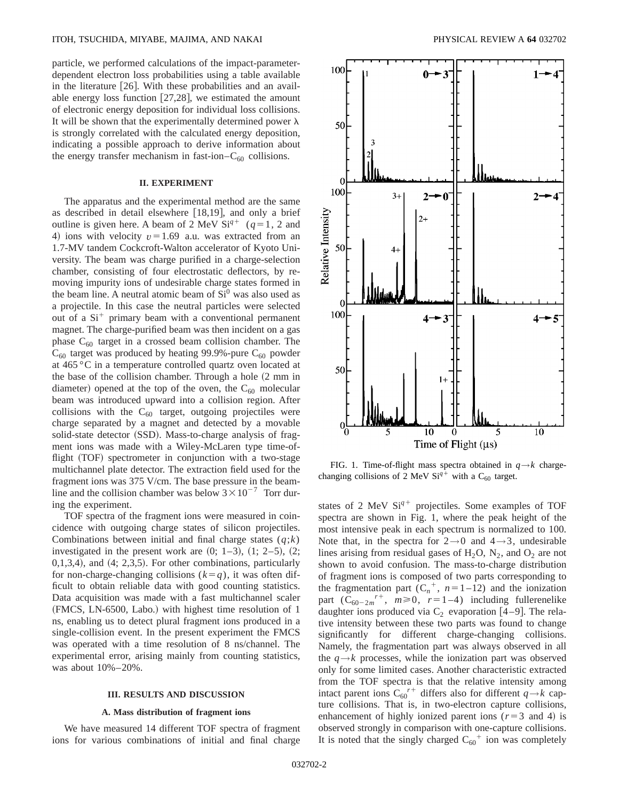particle, we performed calculations of the impact-parameterdependent electron loss probabilities using a table available in the literature  $[26]$ . With these probabilities and an available energy loss function  $[27,28]$ , we estimated the amount of electronic energy deposition for individual loss collisions. It will be shown that the experimentally determined power  $\lambda$ is strongly correlated with the calculated energy deposition, indicating a possible approach to derive information about the energy transfer mechanism in fast-ion– $C_{60}$  collisions.

# **II. EXPERIMENT**

The apparatus and the experimental method are the same as described in detail elsewhere  $[18,19]$ , and only a brief outline is given here. A beam of 2 MeV  $Si^{q+}$  ( $q=1, 2$  and 4) ions with velocity  $v=1.69$  a.u. was extracted from an 1.7-MV tandem Cockcroft-Walton accelerator of Kyoto University. The beam was charge purified in a charge-selection chamber, consisting of four electrostatic deflectors, by removing impurity ions of undesirable charge states formed in the beam line. A neutral atomic beam of  $Si<sup>0</sup>$  was also used as a projectile. In this case the neutral particles were selected out of a  $Si<sup>+</sup>$  primary beam with a conventional permanent magnet. The charge-purified beam was then incident on a gas phase  $C_{60}$  target in a crossed beam collision chamber. The  $C_{60}$  target was produced by heating 99.9%-pure  $C_{60}$  powder at 465 °C in a temperature controlled quartz oven located at the base of the collision chamber. Through a hole  $(2 \text{ mm in})$ diameter) opened at the top of the oven, the  $C_{60}$  molecular beam was introduced upward into a collision region. After collisions with the  $C_{60}$  target, outgoing projectiles were charge separated by a magnet and detected by a movable solid-state detector (SSD). Mass-to-charge analysis of fragment ions was made with a Wiley-McLaren type time-offlight (TOF) spectrometer in conjunction with a two-stage multichannel plate detector. The extraction field used for the fragment ions was 375 V/cm. The base pressure in the beamline and the collision chamber was below  $3 \times 10^{-7}$  Torr during the experiment.

TOF spectra of the fragment ions were measured in coincidence with outgoing charge states of silicon projectiles. Combinations between initial and final charge states  $(q; k)$ investigated in the present work are  $(0; 1-3)$ ,  $(1; 2-5)$ ,  $(2;$  $(0,1,3,4)$ , and  $(4; 2,3,5)$ . For other combinations, particularly for non-charge-changing collisions  $(k=q)$ , it was often difficult to obtain reliable data with good counting statistics. Data acquisition was made with a fast multichannel scaler (FMCS, LN-6500, Labo.) with highest time resolution of 1 ns, enabling us to detect plural fragment ions produced in a single-collision event. In the present experiment the FMCS was operated with a time resolution of 8 ns/channel. The experimental error, arising mainly from counting statistics, was about 10%–20%.

#### **III. RESULTS AND DISCUSSION**

#### **A. Mass distribution of fragment ions**

We have measured 14 different TOF spectra of fragment ions for various combinations of initial and final charge



FIG. 1. Time-of-flight mass spectra obtained in  $q \rightarrow k$  chargechanging collisions of 2 MeV Si<sup>q+</sup> with a C<sub>60</sub> target.

states of 2 MeV  $Si<sup>q+</sup>$  projectiles. Some examples of TOF spectra are shown in Fig. 1, where the peak height of the most intensive peak in each spectrum is normalized to 100. Note that, in the spectra for  $2\rightarrow 0$  and  $4\rightarrow 3$ , undesirable lines arising from residual gases of  $H_2O$ ,  $N_2$ , and  $O_2$  are not shown to avoid confusion. The mass-to-charge distribution of fragment ions is composed of two parts corresponding to the fragmentation part  $(C_n^+, n=1-12)$  and the ionization part  $(C_{60-2m}^{r+}, m \ge 0, r=1-4)$  including fullerenelike daughter ions produced via  $C_2$  evaporation [4–9]. The relative intensity between these two parts was found to change significantly for different charge-changing collisions. Namely, the fragmentation part was always observed in all the  $q \rightarrow k$  processes, while the ionization part was observed only for some limited cases. Another characteristic extracted from the TOF spectra is that the relative intensity among intact parent ions  $C_{60}^{r+}$  differs also for different  $q \rightarrow k$  capture collisions. That is, in two-electron capture collisions, enhancement of highly ionized parent ions  $(r=3$  and 4) is observed strongly in comparison with one-capture collisions. It is noted that the singly charged  $C_{60}^+$  ion was completely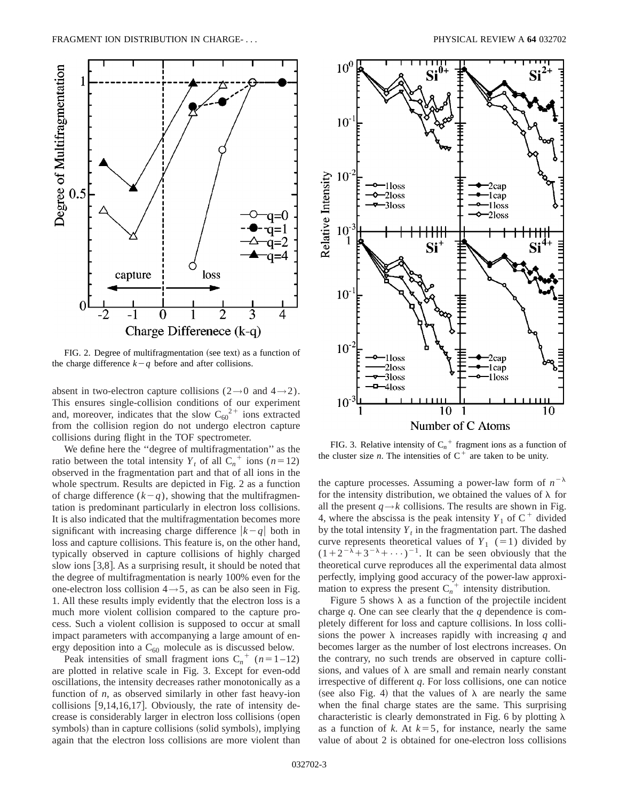

FIG. 2. Degree of multifragmentation (see text) as a function of the charge difference  $k-q$  before and after collisions.

absent in two-electron capture collisions ( $2\rightarrow 0$  and  $4\rightarrow 2$ ). This ensures single-collision conditions of our experiment and, moreover, indicates that the slow  $C_{60}^{2+}$  ions extracted from the collision region do not undergo electron capture collisions during flight in the TOF spectrometer.

We define here the ''degree of multifragmentation'' as the ratio between the total intensity  $Y_t$  of all  $C_n^+$  ions (*n*=12) observed in the fragmentation part and that of all ions in the whole spectrum. Results are depicted in Fig. 2 as a function of charge difference  $(k-q)$ , showing that the multifragmentation is predominant particularly in electron loss collisions. It is also indicated that the multifragmentation becomes more significant with increasing charge difference  $|k-q|$  both in loss and capture collisions. This feature is, on the other hand, typically observed in capture collisions of highly charged slow ions  $[3,8]$ . As a surprising result, it should be noted that the degree of multifragmentation is nearly 100% even for the one-electron loss collision  $4 \rightarrow 5$ , as can be also seen in Fig. 1. All these results imply evidently that the electron loss is a much more violent collision compared to the capture process. Such a violent collision is supposed to occur at small impact parameters with accompanying a large amount of energy deposition into a  $C_{60}$  molecule as is discussed below.

Peak intensities of small fragment ions  $C_n^+$  ( $n=1-12$ ) are plotted in relative scale in Fig. 3. Except for even-odd oscillations, the intensity decreases rather monotonically as a function of *n*, as observed similarly in other fast heavy-ion collisions  $[9,14,16,17]$ . Obviously, the rate of intensity decrease is considerably larger in electron loss collisions (open symbols) than in capture collisions (solid symbols), implying again that the electron loss collisions are more violent than



FIG. 3. Relative intensity of  $C_n^+$  fragment ions as a function of the cluster size *n*. The intensities of  $C^+$  are taken to be unity.

the capture processes. Assuming a power-law form of  $n^{-\lambda}$ for the intensity distribution, we obtained the values of  $\lambda$  for all the present  $q \rightarrow k$  collisions. The results are shown in Fig. 4, where the abscissa is the peak intensity  $Y_1$  of  $C^+$  divided by the total intensity  $Y_t$  in the fragmentation part. The dashed curve represents theoretical values of  $Y_1$  (=1) divided by  $(1+2^{-\lambda}+3^{-\lambda}+\cdots)^{-1}$ . It can be seen obviously that the theoretical curve reproduces all the experimental data almost perfectly, implying good accuracy of the power-law approximation to express the present  $C_n^+$  intensity distribution.

Figure 5 shows  $\lambda$  as a function of the projectile incident charge *q*. One can see clearly that the *q* dependence is completely different for loss and capture collisions. In loss collisions the power  $\lambda$  increases rapidly with increasing *q* and becomes larger as the number of lost electrons increases. On the contrary, no such trends are observed in capture collisions, and values of  $\lambda$  are small and remain nearly constant irrespective of different *q*. For loss collisions, one can notice (see also Fig. 4) that the values of  $\lambda$  are nearly the same when the final charge states are the same. This surprising characteristic is clearly demonstrated in Fig. 6 by plotting  $\lambda$ as a function of  $k$ . At  $k=5$ , for instance, nearly the same value of about 2 is obtained for one-electron loss collisions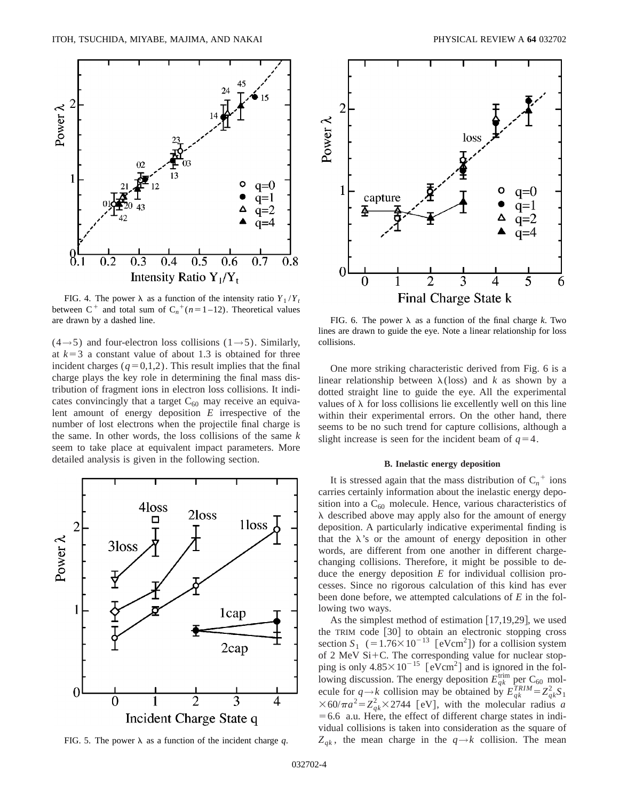

FIG. 4. The power  $\lambda$  as a function of the intensity ratio  $Y_1/Y_1$ between  $C^+$  and total sum of  $C_n^+(n=1-12)$ . Theoretical values are drawn by a dashed line.

 $(4\rightarrow 5)$  and four-electron loss collisions  $(1\rightarrow 5)$ . Similarly, at  $k=3$  a constant value of about 1.3 is obtained for three incident charges  $(q=0,1,2)$ . This result implies that the final charge plays the key role in determining the final mass distribution of fragment ions in electron loss collisions. It indicates convincingly that a target  $C_{60}$  may receive an equivalent amount of energy deposition *E* irrespective of the number of lost electrons when the projectile final charge is the same. In other words, the loss collisions of the same *k* seem to take place at equivalent impact parameters. More detailed analysis is given in the following section.



FIG. 5. The power  $\lambda$  as a function of the incident charge q.



FIG. 6. The power  $\lambda$  as a function of the final charge *k*. Two lines are drawn to guide the eye. Note a linear relationship for loss collisions.

One more striking characteristic derived from Fig. 6 is a linear relationship between  $\lambda$ (loss) and *k* as shown by a dotted straight line to guide the eye. All the experimental values of  $\lambda$  for loss collisions lie excellently well on this line within their experimental errors. On the other hand, there seems to be no such trend for capture collisions, although a slight increase is seen for the incident beam of  $q=4$ .

### **B. Inelastic energy deposition**

It is stressed again that the mass distribution of  $C_n^+$  ions carries certainly information about the inelastic energy deposition into a  $C_{60}$  molecule. Hence, various characteristics of  $\lambda$  described above may apply also for the amount of energy deposition. A particularly indicative experimental finding is that the  $\lambda$ 's or the amount of energy deposition in other words, are different from one another in different chargechanging collisions. Therefore, it might be possible to deduce the energy deposition *E* for individual collision processes. Since no rigorous calculation of this kind has ever been done before, we attempted calculations of *E* in the following two ways.

As the simplest method of estimation  $[17,19,29]$ , we used the TRIM code  $[30]$  to obtain an electronic stopping cross section  $S_1$  (=1.76×10<sup>-13</sup> [eVcm<sup>2</sup>]) for a collision system of 2 MeV Si+C. The corresponding value for nuclear stopping is only  $4.85 \times 10^{-15}$  [eVcm<sup>2</sup>] and is ignored in the following discussion. The energy deposition  $E_{qk}^{\text{trim}}$  per C<sub>60</sub> molecule for  $q \rightarrow k$  collision may be obtained by  $E_{qk}^{TRIM} = Z_{qk}^2 S_1$  $\times$  60/ $\pi a^2 = Z_{qk}^2 \times 2744$  [eV], with the molecular radius *a*  $=6.6$  a.u. Here, the effect of different charge states in individual collisions is taken into consideration as the square of  $Z_{qk}$ , the mean charge in the  $q \rightarrow k$  collision. The mean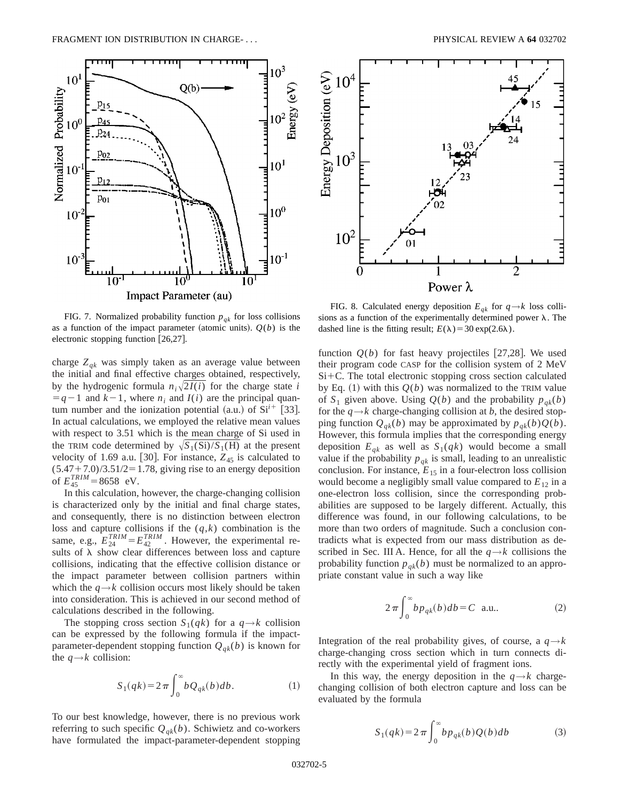

FIG. 7. Normalized probability function  $p_{ak}$  for loss collisions as a function of the impact parameter (atomic units).  $Q(b)$  is the electronic stopping function  $[26,27]$ .

charge  $Z_{qk}$  was simply taken as an average value between the initial and final effective charges obtained, respectively, by the hydrogenic formula  $n_i\sqrt{2I(i)}$  for the charge state *i*  $= q-1$  and  $k-1$ , where  $n_i$  and  $I(i)$  are the principal quantum number and the ionization potential  $(a.u.)$  of  $Si^{i+}$  [33]. In actual calculations, we employed the relative mean values with respect to 3.51 which is the mean charge of Si used in the TRIM code determined by  $\sqrt{S_1(Si)} / S_1(H)$  at the present velocity of 1.69 a.u. [30]. For instance,  $Z_{45}$  is calculated to  $(5.47+7.0)/3.51/2=1.78$ , giving rise to an energy deposition of  $E_{45}^{TRIM}$  = 8658 eV.

In this calculation, however, the charge-changing collision is characterized only by the initial and final charge states, and consequently, there is no distinction between electron loss and capture collisions if the (*q*,*k*) combination is the same, e.g.,  $E_{24}^{TRIM} = E_{42}^{TRIM}$ . However, the experimental results of  $\lambda$  show clear differences between loss and capture collisions, indicating that the effective collision distance or the impact parameter between collision partners within which the  $q \rightarrow k$  collision occurs most likely should be taken into consideration. This is achieved in our second method of calculations described in the following.

The stopping cross section  $S_1(qk)$  for a  $q \rightarrow k$  collision can be expressed by the following formula if the impactparameter-dependent stopping function  $Q_{qk}(b)$  is known for the  $q \rightarrow k$  collision:

$$
S_1(qk) = 2\pi \int_0^\infty bQ_{qk}(b)db.
$$
 (1)

To our best knowledge, however, there is no previous work referring to such specific  $Q_{qk}(b)$ . Schiwietz and co-workers have formulated the impact-parameter-dependent stopping



FIG. 8. Calculated energy deposition  $E_{qk}$  for  $q \rightarrow k$  loss collisions as a function of the experimentally determined power  $\lambda$ . The dashed line is the fitting result;  $E(\lambda) = 30 \exp(2.6\lambda)$ .

function  $Q(b)$  for fast heavy projectiles [27,28]. We used their program code CASP for the collision system of 2 MeV  $Si+C$ . The total electronic stopping cross section calculated by Eq.  $(1)$  with this  $Q(b)$  was normalized to the TRIM value of  $S_1$  given above. Using  $Q(b)$  and the probability  $p_{ak}(b)$ for the  $q \rightarrow k$  charge-changing collision at *b*, the desired stopping function  $Q_{ak}(b)$  may be approximated by  $p_{ak}(b)Q(b)$ . However, this formula implies that the corresponding energy deposition  $E_{qk}$  as well as  $S_1(qk)$  would become a small value if the probability  $p_{qk}$  is small, leading to an unrealistic conclusion. For instance,  $E_{15}$  in a four-electron loss collision would become a negligibly small value compared to  $E_{12}$  in a one-electron loss collision, since the corresponding probabilities are supposed to be largely different. Actually, this difference was found, in our following calculations, to be more than two orders of magnitude. Such a conclusion contradicts what is expected from our mass distribution as described in Sec. III A. Hence, for all the  $q \rightarrow k$  collisions the probability function  $p_{ak}(b)$  must be normalized to an appropriate constant value in such a way like

$$
2\pi \int_0^\infty b p_{qk}(b) db = C \text{ a.u.} \tag{2}
$$

Integration of the real probability gives, of course, a  $q \rightarrow k$ charge-changing cross section which in turn connects directly with the experimental yield of fragment ions.

In this way, the energy deposition in the  $q \rightarrow k$  chargechanging collision of both electron capture and loss can be evaluated by the formula

$$
S_1(qk) = 2\pi \int_0^\infty b p_{qk}(b) Q(b) db \tag{3}
$$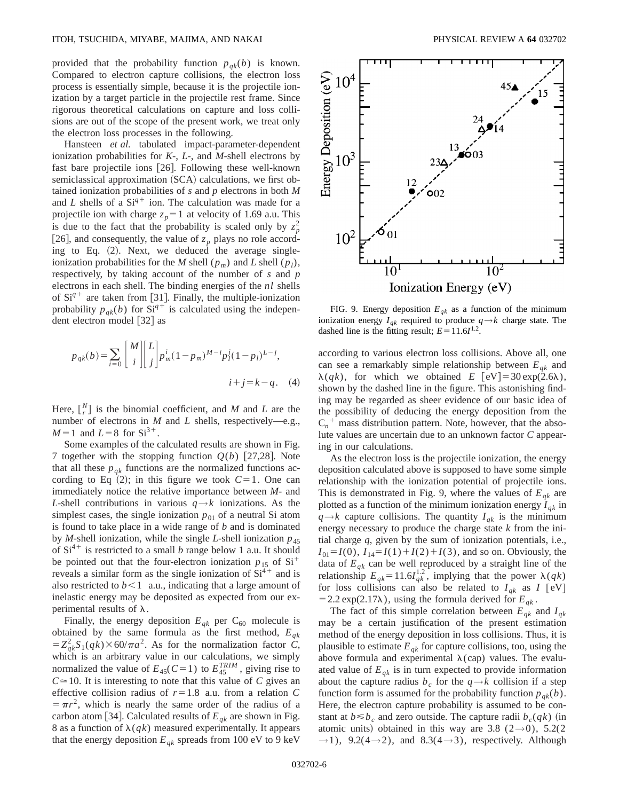provided that the probability function  $p_{qk}(b)$  is known. Compared to electron capture collisions, the electron loss process is essentially simple, because it is the projectile ionization by a target particle in the projectile rest frame. Since rigorous theoretical calculations on capture and loss collisions are out of the scope of the present work, we treat only the electron loss processes in the following.

Hansteen *et al.* tabulated impact-parameter-dependent ionization probabilities for *K*-, *L*-, and *M*-shell electrons by fast bare projectile ions  $[26]$ . Following these well-known semiclassical approximation (SCA) calculations, we first obtained ionization probabilities of *s* and *p* electrons in both *M* and *L* shells of a  $Si<sup>q+</sup>$  ion. The calculation was made for a projectile ion with charge  $z_p = 1$  at velocity of 1.69 a.u. This is due to the fact that the probability is scaled only by  $z_p^2$ [26], and consequently, the value of  $z_p$  plays no role according to Eq.  $(2)$ . Next, we deduced the average singleionization probabilities for the *M* shell ( $p_m$ ) and *L* shell ( $p_l$ ), respectively, by taking account of the number of *s* and *p* electrons in each shell. The binding energies of the *nl* shells of  $Si^{q+}$  are taken from [31]. Finally, the multiple-ionization probability  $p_{qk}(b)$  for  $Si^{q+}$  is calculated using the independent electron model  $\lceil 32 \rceil$  as

$$
p_{qk}(b) = \sum_{i=0}^{\infty} \binom{M}{i} \binom{L}{j} p_m^i (1 - p_m)^{M-i} p_l^j (1 - p_l)^{L-j},
$$
  

$$
i + j = k - q. \quad (4)
$$

Here,  $\begin{bmatrix} N \\ r \end{bmatrix}$  is the binomial coefficient, and *M* and *L* are the number of electrons in *M* and *L* shells, respectively—e.g.,  $M=1$  and  $L=8$  for  $Si^{3+}$ .

Some examples of the calculated results are shown in Fig. 7 together with the stopping function  $Q(b)$  [27,28]. Note that all these  $p_{ak}$  functions are the normalized functions according to Eq  $(2)$ ; in this figure we took  $C=1$ . One can immediately notice the relative importance between *M*- and *L*-shell contributions in various  $q \rightarrow k$  ionizations. As the simplest cases, the single ionization  $p_{01}$  of a neutral Si atom is found to take place in a wide range of *b* and is dominated by *M*-shell ionization, while the single *L*-shell ionization  $p_{45}$ of  $Si<sup>4+</sup>$  is restricted to a small *b* range below 1 a.u. It should be pointed out that the four-electron ionization  $p_{15}$  of  $Si<sup>+</sup>$ reveals a similar form as the single ionization of  $Si<sup>4+</sup>$  and is also restricted to  $b<1$  a.u., indicating that a large amount of inelastic energy may be deposited as expected from our experimental results of  $\lambda$ .

Finally, the energy deposition  $E_{qk}$  per  $C_{60}$  molecule is obtained by the same formula as the first method, *Eqk*  $= Z_{qk}^2 S_1(qk) \times 60/\pi a^2$ . As for the normalization factor *C*, which is an arbitrary value in our calculations, we simply normalized the value of  $E_{45}(C=1)$  to  $E_{45}^{TRIM}$ , giving rise to  $C \approx 10$ . It is interesting to note that this value of *C* gives an effective collision radius of  $r=1.8$  a.u. from a relation *C*  $\pi r^2$ , which is nearly the same order of the radius of a carbon atom [34]. Calculated results of  $E_{qk}$  are shown in Fig. 8 as a function of  $\lambda(qk)$  measured experimentally. It appears that the energy deposition  $E_{qk}$  spreads from 100 eV to 9 keV



FIG. 9. Energy deposition  $E_{qk}$  as a function of the minimum ionization energy  $I_{qk}$  required to produce  $q \rightarrow k$  charge state. The dashed line is the fitting result;  $E=11.6I^{1.2}$ .

according to various electron loss collisions. Above all, one can see a remarkably simple relationship between  $E_{ak}$  and  $\lambda(qk)$ , for which we obtained *E* [eV] = 30 exp(2.6), shown by the dashed line in the figure. This astonishing finding may be regarded as sheer evidence of our basic idea of the possibility of deducing the energy deposition from the  $C_n^+$  mass distribution pattern. Note, however, that the absolute values are uncertain due to an unknown factor *C* appearing in our calculations.

As the electron loss is the projectile ionization, the energy deposition calculated above is supposed to have some simple relationship with the ionization potential of projectile ions. This is demonstrated in Fig. 9, where the values of  $E_{qk}$  are plotted as a function of the minimum ionization energy  $I_{qk}$  in  $q \rightarrow k$  capture collisions. The quantity  $I_{qk}$  is the minimum energy necessary to produce the charge state *k* from the initial charge *q*, given by the sum of ionization potentials, i.e.,  $I_{01} = I(0)$ ,  $I_{14} = I(1) + I(2) + I(3)$ , and so on. Obviously, the data of  $E_{qk}$  can be well reproduced by a straight line of the relationship  $E_{qk} = 11.6I_{qk}^{1.2}$ , implying that the power  $\lambda(qk)$ for loss collisions can also be related to  $I_{ak}$  as  $I$  [eV] = 2.2 exp(2.17 $\lambda$ ), using the formula derived for  $E_{qk}$ .

The fact of this simple correlation between  $E_{qk}$  and  $I_{qk}$ may be a certain justification of the present estimation method of the energy deposition in loss collisions. Thus, it is plausible to estimate  $E_{qk}$  for capture collisions, too, using the above formula and experimental  $\lambda$ (cap) values. The evaluated value of  $E_{ak}$  is in turn expected to provide information about the capture radius  $b_c$  for the  $q \rightarrow k$  collision if a step function form is assumed for the probability function  $p_{ak}(b)$ . Here, the electron capture probability is assumed to be constant at  $b \leq b_c$  and zero outside. The capture radii  $b_c(qk)$  (in atomic units) obtained in this way are 3.8 (2→0), 5.2(2)  $\rightarrow$ 1), 9.2(4 $\rightarrow$ 2), and 8.3(4 $\rightarrow$ 3), respectively. Although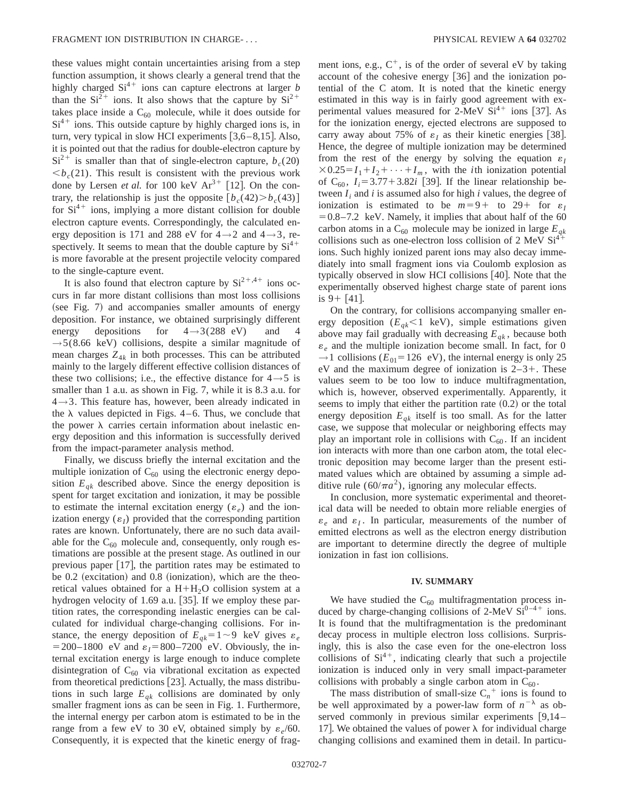these values might contain uncertainties arising from a step function assumption, it shows clearly a general trend that the highly charged  $Si<sup>4+</sup>$  ions can capture electrons at larger *b* than the  $Si^{2+}$  ions. It also shows that the capture by  $Si^{2+}$ takes place inside a  $C_{60}$  molecule, while it does outside for  $Si<sup>4+</sup>$  ions. This outside capture by highly charged ions is, in turn, very typical in slow HCI experiments  $[3,6-8,15]$ . Also, it is pointed out that the radius for double-electron capture by  $Si<sup>2+</sup>$  is smaller than that of single-electron capture,  $b_c(20)$ **. This result is consistent with the previous work** done by Lersen *et al.* for 100 keV  $Ar^{3+}$  [12]. On the contrary, the relationship is just the opposite  $[b_c(42) > b_c(43)]$ for  $Si<sup>4+</sup>$  ions, implying a more distant collision for double electron capture events. Correspondingly, the calculated energy deposition is 171 and 288 eV for  $4 \rightarrow 2$  and  $4 \rightarrow 3$ , respectively. It seems to mean that the double capture by  $Si<sup>4+</sup>$ is more favorable at the present projectile velocity compared to the single-capture event.

It is also found that electron capture by  $Si^{2+,4+}$  ions occurs in far more distant collisions than most loss collisions  $(see Fig. 7)$  and accompanies smaller amounts of energy deposition. For instance, we obtained surprisingly different energy depositions for  $4 \rightarrow 3(288 \text{ eV})$  and  $\rightarrow$  5(8.66 keV) collisions, despite a similar magnitude of mean charges  $Z_{4k}$  in both processes. This can be attributed mainly to the largely different effective collision distances of these two collisions; i.e., the effective distance for  $4 \rightarrow 5$  is smaller than 1 a.u. as shown in Fig. 7, while it is 8.3 a.u. for  $4 \rightarrow 3$ . This feature has, however, been already indicated in the  $\lambda$  values depicted in Figs. 4–6. Thus, we conclude that the power  $\lambda$  carries certain information about inelastic energy deposition and this information is successfully derived from the impact-parameter analysis method.

Finally, we discuss briefly the internal excitation and the multiple ionization of  $C_{60}$  using the electronic energy deposition  $E_{qk}$  described above. Since the energy deposition is spent for target excitation and ionization, it may be possible to estimate the internal excitation energy  $(\varepsilon_e)$  and the ionization energy  $(\varepsilon_l)$  provided that the corresponding partition rates are known. Unfortunately, there are no such data available for the  $C_{60}$  molecule and, consequently, only rough estimations are possible at the present stage. As outlined in our previous paper  $\lceil 17 \rceil$ , the partition rates may be estimated to be  $0.2$  (excitation) and  $0.8$  (ionization), which are the theoretical values obtained for a  $H+H<sub>2</sub>O$  collision system at a hydrogen velocity of 1.69 a.u.  $[35]$ . If we employ these partition rates, the corresponding inelastic energies can be calculated for individual charge-changing collisions. For instance, the energy deposition of  $E_{qk}$ =1~9 keV gives  $\varepsilon_e$  $= 200 - 1800$  eV and  $\varepsilon_1 = 800 - 7200$  eV. Obviously, the internal excitation energy is large enough to induce complete disintegration of  $C_{60}$  via vibrational excitation as expected from theoretical predictions  $[23]$ . Actually, the mass distributions in such large  $E_{qk}$  collisions are dominated by only smaller fragment ions as can be seen in Fig. 1. Furthermore, the internal energy per carbon atom is estimated to be in the range from a few eV to 30 eV, obtained simply by  $\varepsilon_e/60$ . Consequently, it is expected that the kinetic energy of fragment ions, e.g.,  $C^+$ , is of the order of several eV by taking account of the cohesive energy  $[36]$  and the ionization potential of the C atom. It is noted that the kinetic energy estimated in this way is in fairly good agreement with experimental values measured for  $2$ -MeV  $Si<sup>4+</sup>$  ions [37]. As for the ionization energy, ejected electrons are supposed to carry away about 75% of  $\varepsilon_1$  as their kinetic energies [38]. Hence, the degree of multiple ionization may be determined from the rest of the energy by solving the equation  $\varepsilon_I$  $\times$ 0.25= $I_1+I_2+\cdots+I_m$ , with the *i*th ionization potential of  $C_{60}$ ,  $I_i = 3.77 + 3.82i$  [39]. If the linear relationship between  $I_i$  and  $i$  is assumed also for high  $i$  values, the degree of ionization is estimated to be  $m=9+$  to 29+ for  $\varepsilon_1$  $=0.8-7.2$  keV. Namely, it implies that about half of the 60 carbon atoms in a  $C_{60}$  molecule may be ionized in large  $E_{gk}$ collisions such as one-electron loss collision of 2 MeV  $Si<sup>4+</sup>$ ions. Such highly ionized parent ions may also decay immediately into small fragment ions via Coulomb explosion as typically observed in slow HCI collisions  $[40]$ . Note that the experimentally observed highest charge state of parent ions is  $9 + [41]$ .

On the contrary, for collisions accompanying smaller energy deposition  $(E_{qk} < 1 \text{ keV})$ , simple estimations given above may fail gradually with decreasing  $E_{ak}$ , because both  $\varepsilon_e$  and the multiple ionization become small. In fact, for 0  $\rightarrow$ 1 collisions ( $E_{01}$ =126 eV), the internal energy is only 25 eV and the maximum degree of ionization is  $2-3+$ . These values seem to be too low to induce multifragmentation, which is, however, observed experimentally. Apparently, it seems to imply that either the partition rate  $(0.2)$  or the total energy deposition  $E_{ak}$  itself is too small. As for the latter case, we suppose that molecular or neighboring effects may play an important role in collisions with  $C_{60}$ . If an incident ion interacts with more than one carbon atom, the total electronic deposition may become larger than the present estimated values which are obtained by assuming a simple additive rule ( $60/\pi a^2$ ), ignoring any molecular effects.

In conclusion, more systematic experimental and theoretical data will be needed to obtain more reliable energies of  $\varepsilon_e$  and  $\varepsilon_l$ . In particular, measurements of the number of emitted electrons as well as the electron energy distribution are important to determine directly the degree of multiple ionization in fast ion collisions.

#### **IV. SUMMARY**

We have studied the  $C_{60}$  multifragmentation process induced by charge-changing collisions of 2-MeV  $Si^{0-4+}$  ions. It is found that the multifragmentation is the predominant decay process in multiple electron loss collisions. Surprisingly, this is also the case even for the one-electron loss collisions of  $Si<sup>4+</sup>$ , indicating clearly that such a projectile ionization is induced only in very small impact-parameter collisions with probably a single carbon atom in  $C_{60}$ .

The mass distribution of small-size  $C_n^+$  ions is found to be well approximated by a power-law form of  $n^{-\lambda}$  as observed commonly in previous similar experiments  $[9,14-$ 17. We obtained the values of power  $\lambda$  for individual charge changing collisions and examined them in detail. In particu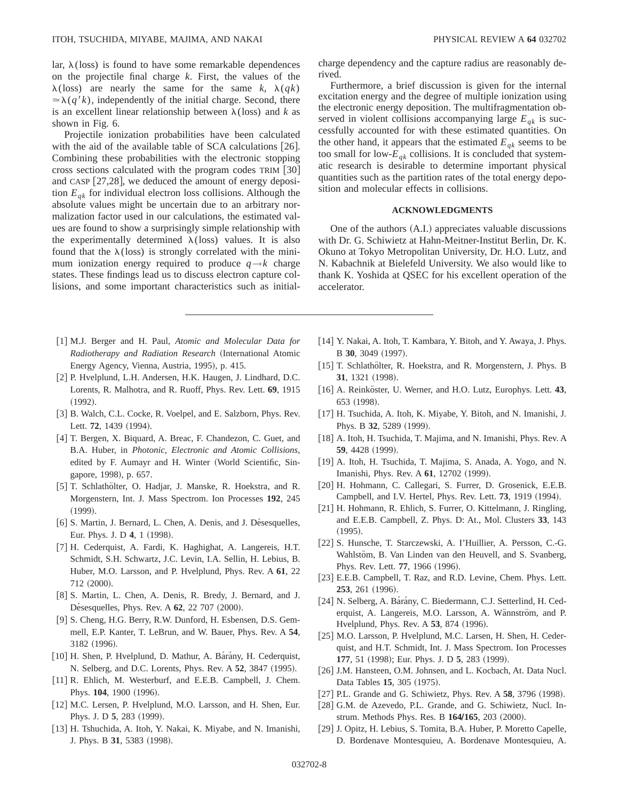lar,  $\lambda$ (loss) is found to have some remarkable dependences on the projectile final charge *k*. First, the values of the  $\lambda$ (loss) are nearly the same for the same *k*,  $\lambda$ (*qk*)  $\approx \lambda(q'k)$ , independently of the initial charge. Second, there is an excellent linear relationship between  $\lambda$ (loss) and *k* as shown in Fig. 6.

Projectile ionization probabilities have been calculated with the aid of the available table of SCA calculations  $[26]$ . Combining these probabilities with the electronic stopping cross sections calculated with the program codes  $TRIM [30]$ and CASP  $[27,28]$ , we deduced the amount of energy deposition  $E_{ak}$  for individual electron loss collisions. Although the absolute values might be uncertain due to an arbitrary normalization factor used in our calculations, the estimated values are found to show a surprisingly simple relationship with the experimentally determined  $\lambda$ (loss) values. It is also found that the  $\lambda$ (loss) is strongly correlated with the minimum ionization energy required to produce  $q \rightarrow k$  charge states. These findings lead us to discuss electron capture collisions, and some important characteristics such as initial-

- [1] M.J. Berger and H. Paul, *Atomic and Molecular Data for Radiotherapy and Radiation Research* ~International Atomic Energy Agency, Vienna, Austria, 1995), p. 415.
- [2] P. Hvelplund, L.H. Andersen, H.K. Haugen, J. Lindhard, D.C. Lorents, R. Malhotra, and R. Ruoff, Phys. Rev. Lett. **69**, 1915  $(1992).$
- [3] B. Walch, C.L. Cocke, R. Voelpel, and E. Salzborn, Phys. Rev. Lett. **72**, 1439 (1994).
- [4] T. Bergen, X. Biquard, A. Breac, F. Chandezon, C. Guet, and B.A. Huber, in *Photonic, Electronic and Atomic Collisions,* edited by F. Aumayr and H. Winter (World Scientific, Singapore, 1998), p. 657.
- [5] T. Schlathölter, O. Hadjar, J. Manske, R. Hoekstra, and R. Morgenstern, Int. J. Mass Spectrom. Ion Processes **192**, 245  $(1999).$
- [6] S. Martin, J. Bernard, L. Chen, A. Denis, and J. Désesquelles, Eur. Phys. J. D 4, 1 (1998).
- [7] H. Cederquist, A. Fardi, K. Haghighat, A. Langereis, H.T. Schmidt, S.H. Schwartz, J.C. Levin, I.A. Sellin, H. Lebius, B. Huber, M.O. Larsson, and P. Hvelplund, Phys. Rev. A **61**, 22 712 (2000).
- [8] S. Martin, L. Chen, A. Denis, R. Bredy, J. Bernard, and J. Désesquelles, Phys. Rev. A **62**, 22 707 (2000).
- [9] S. Cheng, H.G. Berry, R.W. Dunford, H. Esbensen, D.S. Gemmell, E.P. Kanter, T. LeBrun, and W. Bauer, Phys. Rev. A **54**, 3182 (1996).
- [10] H. Shen, P. Hvelplund, D. Mathur, A. Bárány, H. Cederquist, N. Selberg, and D.C. Lorents, Phys. Rev. A 52, 3847 (1995).
- [11] R. Ehlich, M. Westerburf, and E.E.B. Campbell, J. Chem. Phys. 104, 1900 (1996).
- [12] M.C. Lersen, P. Hvelplund, M.O. Larsson, and H. Shen, Eur. Phys. J. D 5, 283 (1999).
- [13] H. Tshuchida, A. Itoh, Y. Nakai, K. Miyabe, and N. Imanishi, J. Phys. B 31, 5383 (1998).

charge dependency and the capture radius are reasonably derived.

Furthermore, a brief discussion is given for the internal excitation energy and the degree of multiple ionization using the electronic energy deposition. The multifragmentation observed in violent collisions accompanying large  $E_{ak}$  is successfully accounted for with these estimated quantities. On the other hand, it appears that the estimated  $E_{qk}$  seems to be too small for low- $E_{qk}$  collisions. It is concluded that systematic research is desirable to determine important physical quantities such as the partition rates of the total energy deposition and molecular effects in collisions.

# **ACKNOWLEDGMENTS**

One of the authors  $(A,I)$  appreciates valuable discussions with Dr. G. Schiwietz at Hahn-Meitner-Institut Berlin, Dr. K. Okuno at Tokyo Metropolitan University, Dr. H.O. Lutz, and N. Kabachnik at Bielefeld University. We also would like to thank K. Yoshida at QSEC for his excellent operation of the accelerator.

- [14] Y. Nakai, A. Itoh, T. Kambara, Y. Bitoh, and Y. Awaya, J. Phys. B 30, 3049 (1997).
- [15] T. Schlathölter, R. Hoekstra, and R. Morgenstern, J. Phys. B 31, 1321 (1998).
- [16] A. Reinköster, U. Werner, and H.O. Lutz, Europhys. Lett. 43, 653 (1998).
- [17] H. Tsuchida, A. Itoh, K. Miyabe, Y. Bitoh, and N. Imanishi, J. Phys. B 32, 5289 (1999).
- [18] A. Itoh, H. Tsuchida, T. Majima, and N. Imanishi, Phys. Rev. A **59**, 4428 (1999).
- [19] A. Itoh, H. Tsuchida, T. Majima, S. Anada, A. Yogo, and N. Imanishi, Phys. Rev. A 61, 12702 (1999).
- [20] H. Hohmann, C. Callegari, S. Furrer, D. Grosenick, E.E.B. Campbell, and I.V. Hertel, Phys. Rev. Lett. **73**, 1919 (1994).
- [21] H. Hohmann, R. Ehlich, S. Furrer, O. Kittelmann, J. Ringling, and E.E.B. Campbell, Z. Phys. D: At., Mol. Clusters **33**, 143  $(1995).$
- [22] S. Hunsche, T. Starczewski, A. I'Huillier, A. Persson, C.-G. Wahlstöm, B. Van Linden van den Heuvell, and S. Svanberg, Phys. Rev. Lett. **77**, 1966 (1996).
- [23] E.E.B. Campbell, T. Raz, and R.D. Levine, Chem. Phys. Lett. **253**, 261 (1996).
- [24] N. Selberg, A. Bárány, C. Biedermann, C.J. Setterlind, H. Cederquist, A. Langereis, M.O. Larsson, A. Wännström, and P. Hvelplund, Phys. Rev. A 53, 874 (1996).
- [25] M.O. Larsson, P. Hvelplund, M.C. Larsen, H. Shen, H. Cederquist, and H.T. Schmidt, Int. J. Mass Spectrom. Ion Processes **177**, 51 (1998); Eur. Phys. J. D **5**, 283 (1999).
- [26] J.M. Hansteen, O.M. Johnsen, and L. Kocbach, At. Data Nucl. Data Tables 15, 305 (1975).
- [27] P.L. Grande and G. Schiwietz, Phys. Rev. A **58**, 3796 (1998).
- [28] G.M. de Azevedo, P.L. Grande, and G. Schiwietz, Nucl. Instrum. Methods Phys. Res. B 164/165, 203 (2000).
- [29] J. Opitz, H. Lebius, S. Tomita, B.A. Huber, P. Moretto Capelle, D. Bordenave Montesquieu, A. Bordenave Montesquieu, A.